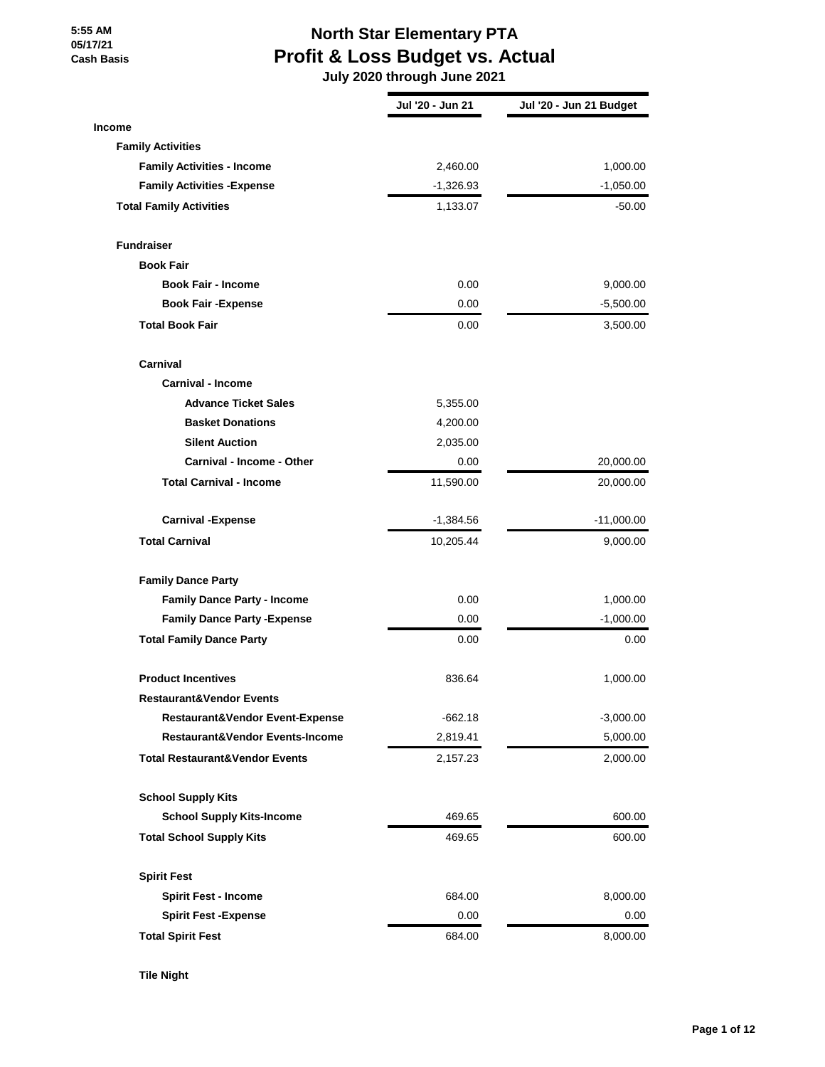# **North Star Elementary PTA Profit & Loss Budget vs. Actual**

 **July 2020 through June 2021**

|                                           | Jul '20 - Jun 21 | Jul '20 - Jun 21 Budget |
|-------------------------------------------|------------------|-------------------------|
| <b>Income</b>                             |                  |                         |
| <b>Family Activities</b>                  |                  |                         |
| <b>Family Activities - Income</b>         | 2,460.00         | 1,000.00                |
| <b>Family Activities - Expense</b>        | $-1,326.93$      | $-1,050.00$             |
| <b>Total Family Activities</b>            | 1,133.07         | $-50.00$                |
| <b>Fundraiser</b>                         |                  |                         |
| <b>Book Fair</b>                          |                  |                         |
| <b>Book Fair - Income</b>                 | 0.00             | 9,000.00                |
| <b>Book Fair -Expense</b>                 | 0.00             | $-5,500.00$             |
| <b>Total Book Fair</b>                    | 0.00             | 3,500.00                |
| Carnival                                  |                  |                         |
| <b>Carnival - Income</b>                  |                  |                         |
| <b>Advance Ticket Sales</b>               | 5,355.00         |                         |
| <b>Basket Donations</b>                   | 4,200.00         |                         |
| <b>Silent Auction</b>                     | 2,035.00         |                         |
| <b>Carnival - Income - Other</b>          | 0.00             | 20,000.00               |
| <b>Total Carnival - Income</b>            | 11,590.00        | 20,000.00               |
| <b>Carnival -Expense</b>                  | $-1,384.56$      | $-11,000.00$            |
| <b>Total Carnival</b>                     | 10,205.44        | 9,000.00                |
| <b>Family Dance Party</b>                 |                  |                         |
| <b>Family Dance Party - Income</b>        | 0.00             | 1,000.00                |
| <b>Family Dance Party - Expense</b>       | 0.00             | $-1,000.00$             |
| <b>Total Family Dance Party</b>           | 0.00             | 0.00                    |
| <b>Product Incentives</b>                 | 836.64           | 1,000.00                |
| Restaurant&Vendor Events                  |                  |                         |
| Restaurant&Vendor Event-Expense           | $-662.18$        | $-3,000.00$             |
| Restaurant&Vendor Events-Income           | 2,819.41         | 5,000.00                |
| <b>Total Restaurant&amp;Vendor Events</b> | 2,157.23         | 2,000.00                |
| <b>School Supply Kits</b>                 |                  |                         |
| <b>School Supply Kits-Income</b>          | 469.65           | 600.00                  |
| <b>Total School Supply Kits</b>           | 469.65           | 600.00                  |
| <b>Spirit Fest</b>                        |                  |                         |
| <b>Spirit Fest - Income</b>               | 684.00           | 8,000.00                |
| <b>Spirit Fest - Expense</b>              | 0.00             | 0.00                    |
| <b>Total Spirit Fest</b>                  | 684.00           | 8,000.00                |

**Tile Night**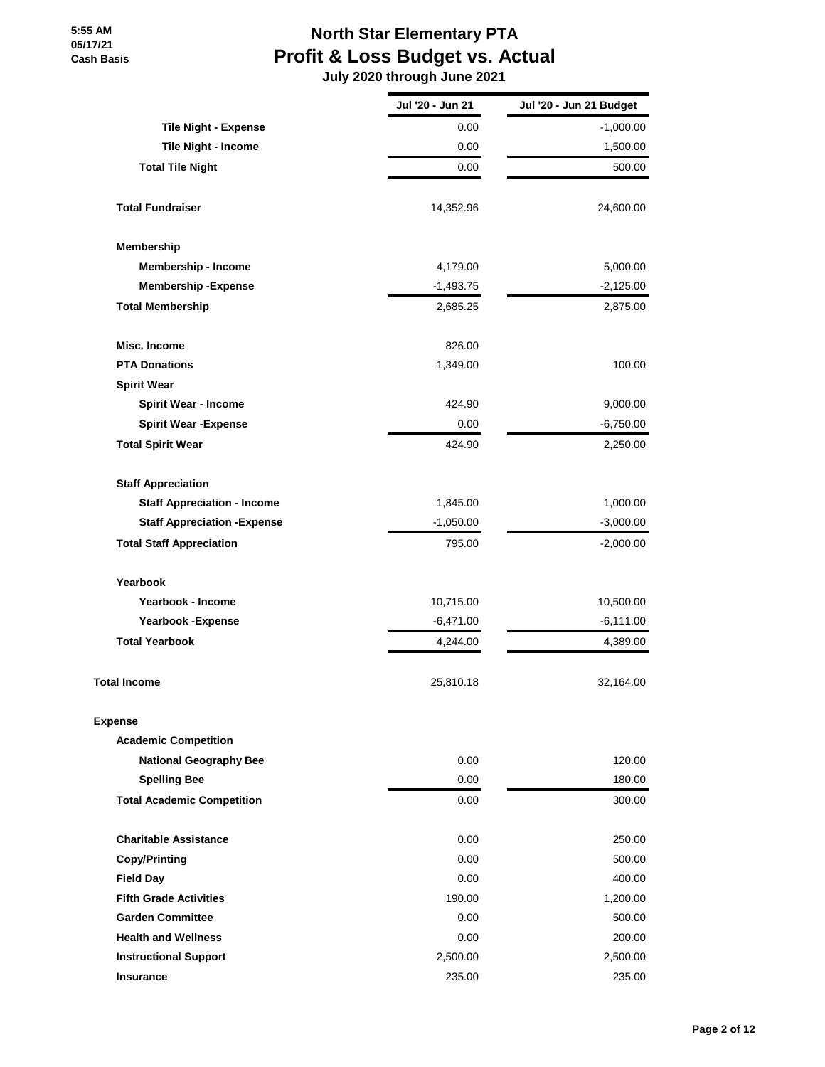# **North Star Elementary PTA Profit & Loss Budget vs. Actual**

 **July 2020 through June 2021**

|                                     | Jul '20 - Jun 21 | Jul '20 - Jun 21 Budget |
|-------------------------------------|------------------|-------------------------|
| <b>Tile Night - Expense</b>         | 0.00             | $-1,000.00$             |
| <b>Tile Night - Income</b>          | 0.00             | 1,500.00                |
| <b>Total Tile Night</b>             | 0.00             | 500.00                  |
| <b>Total Fundraiser</b>             | 14,352.96        | 24,600.00               |
| <b>Membership</b>                   |                  |                         |
| Membership - Income                 | 4,179.00         | 5,000.00                |
| <b>Membership-Expense</b>           | $-1,493.75$      | $-2,125.00$             |
| <b>Total Membership</b>             | 2,685.25         | 2,875.00                |
| Misc. Income                        | 826.00           |                         |
| <b>PTA Donations</b>                | 1,349.00         | 100.00                  |
| <b>Spirit Wear</b>                  |                  |                         |
| <b>Spirit Wear - Income</b>         | 424.90           | 9,000.00                |
| <b>Spirit Wear - Expense</b>        | 0.00             | $-6,750.00$             |
| <b>Total Spirit Wear</b>            | 424.90           | 2,250.00                |
| <b>Staff Appreciation</b>           |                  |                         |
| <b>Staff Appreciation - Income</b>  | 1,845.00         | 1,000.00                |
| <b>Staff Appreciation - Expense</b> | $-1,050.00$      | $-3,000.00$             |
| <b>Total Staff Appreciation</b>     | 795.00           | $-2,000.00$             |
| Yearbook                            |                  |                         |
| Yearbook - Income                   | 10,715.00        | 10,500.00               |
| <b>Yearbook -Expense</b>            | $-6,471.00$      | $-6,111.00$             |
| <b>Total Yearbook</b>               | 4,244.00         | 4,389.00                |
| <b>Total Income</b>                 | 25,810.18        | 32,164.00               |
| <b>Expense</b>                      |                  |                         |
| <b>Academic Competition</b>         |                  |                         |
| <b>National Geography Bee</b>       | 0.00             | 120.00                  |
| <b>Spelling Bee</b>                 | 0.00             | 180.00                  |
| <b>Total Academic Competition</b>   | 0.00             | 300.00                  |
| <b>Charitable Assistance</b>        | 0.00             | 250.00                  |
| Copy/Printing                       | 0.00             | 500.00                  |
| <b>Field Day</b>                    | 0.00             | 400.00                  |
| <b>Fifth Grade Activities</b>       | 190.00           | 1,200.00                |
| <b>Garden Committee</b>             | 0.00             | 500.00                  |
| <b>Health and Wellness</b>          | 0.00             | 200.00                  |
| <b>Instructional Support</b>        | 2,500.00         | 2,500.00                |
| <b>Insurance</b>                    | 235.00           | 235.00                  |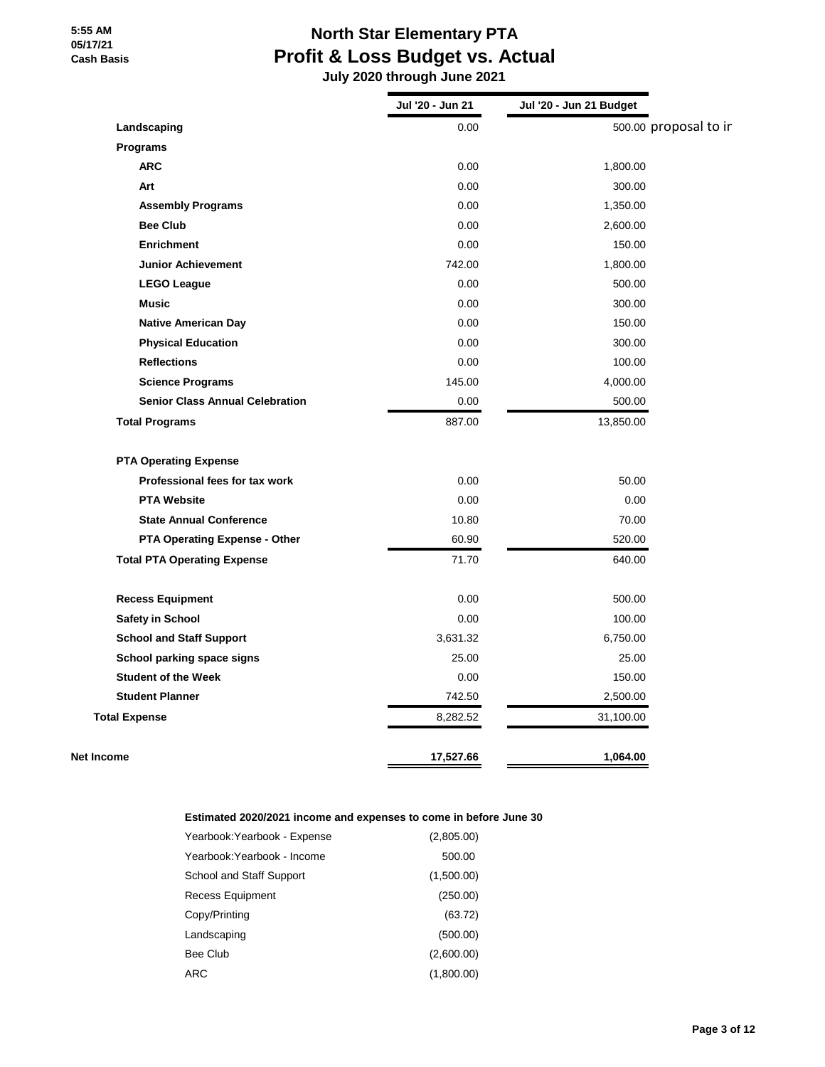# **North Star Elementary PTA Profit & Loss Budget vs. Actual**

 **July 2020 through June 2021**

|                                        | Jul '20 - Jun 21 | Jul '20 - Jun 21 Budget |                       |
|----------------------------------------|------------------|-------------------------|-----------------------|
| Landscaping                            | 0.00             |                         | 500.00 proposal to ir |
| Programs                               |                  |                         |                       |
| <b>ARC</b>                             | 0.00             | 1,800.00                |                       |
| Art                                    | 0.00             | 300.00                  |                       |
| <b>Assembly Programs</b>               | 0.00             | 1,350.00                |                       |
| <b>Bee Club</b>                        | 0.00             | 2,600.00                |                       |
| <b>Enrichment</b>                      | 0.00             | 150.00                  |                       |
| <b>Junior Achievement</b>              | 742.00           | 1,800.00                |                       |
| <b>LEGO League</b>                     | 0.00             | 500.00                  |                       |
| <b>Music</b>                           | 0.00             | 300.00                  |                       |
| <b>Native American Day</b>             | 0.00             | 150.00                  |                       |
| <b>Physical Education</b>              | 0.00             | 300.00                  |                       |
| <b>Reflections</b>                     | 0.00             | 100.00                  |                       |
| <b>Science Programs</b>                | 145.00           | 4,000.00                |                       |
| <b>Senior Class Annual Celebration</b> | 0.00             | 500.00                  |                       |
| <b>Total Programs</b>                  | 887.00           | 13,850.00               |                       |
| <b>PTA Operating Expense</b>           |                  |                         |                       |
| Professional fees for tax work         | 0.00             | 50.00                   |                       |
| <b>PTA Website</b>                     | 0.00             | 0.00                    |                       |
| <b>State Annual Conference</b>         | 10.80            | 70.00                   |                       |
| PTA Operating Expense - Other          | 60.90            | 520.00                  |                       |
| <b>Total PTA Operating Expense</b>     | 71.70            | 640.00                  |                       |
| <b>Recess Equipment</b>                | 0.00             | 500.00                  |                       |
| <b>Safety in School</b>                | 0.00             | 100.00                  |                       |
| <b>School and Staff Support</b>        | 3,631.32         | 6,750.00                |                       |
| School parking space signs             | 25.00            | 25.00                   |                       |
| <b>Student of the Week</b>             | 0.00             | 150.00                  |                       |
| <b>Student Planner</b>                 | 742.50           | 2,500.00                |                       |
| <b>Total Expense</b>                   | 8,282.52         | 31,100.00               |                       |
|                                        |                  |                         |                       |

#### **Estimated 2020/2021 income and expenses to come in before June 30**

| Yearbook:Yearbook - Expense | (2,805.00) |
|-----------------------------|------------|
| Yearbook:Yearbook - Income  | 500.00     |
| School and Staff Support    | (1,500.00) |
| Recess Equipment            | (250.00)   |
| Copy/Printing               | (63.72)    |
| Landscaping                 | (500.00)   |
| Bee Club                    | (2,600.00) |
| ARC                         | (1,800.00) |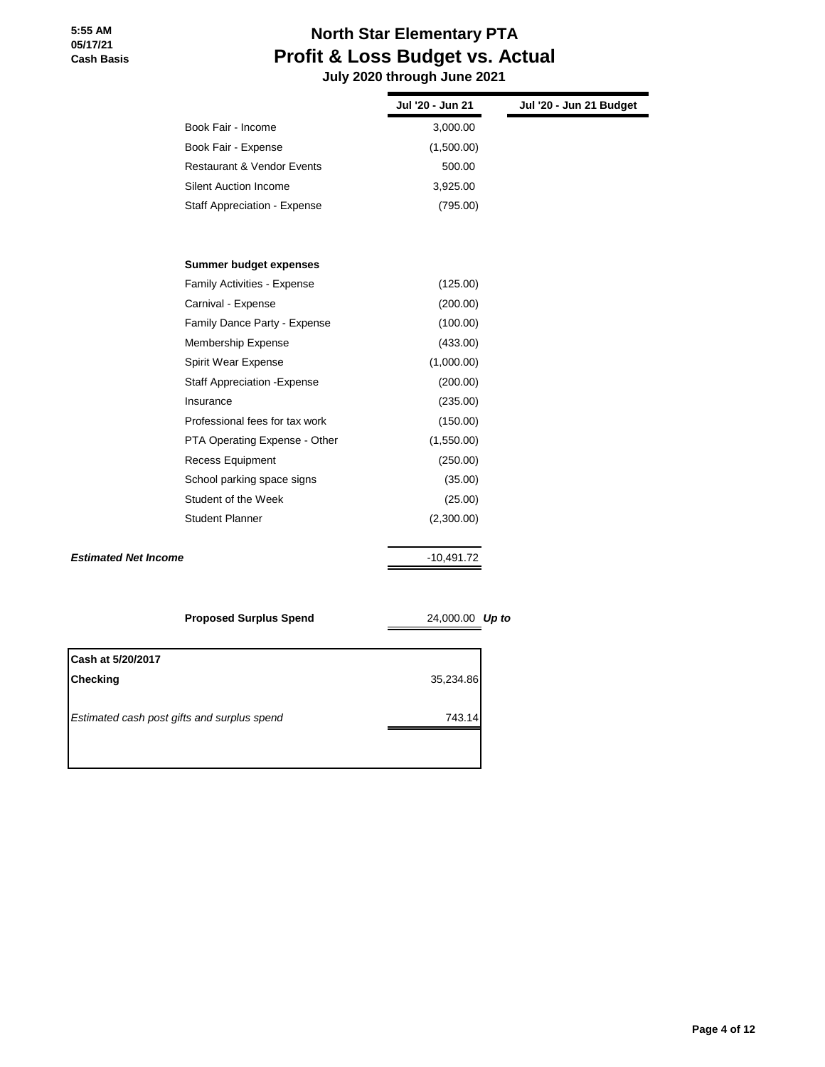# **North Star Elementary PTA Profit & Loss Budget vs. Actual July 2020 through June 2021**

|                             |                                             | Jul '20 - Jun 21 | Jul '20 - Jun 21 Budget |
|-----------------------------|---------------------------------------------|------------------|-------------------------|
|                             | Book Fair - Income                          | 3,000.00         |                         |
|                             | Book Fair - Expense                         | (1,500.00)       |                         |
|                             | <b>Restaurant &amp; Vendor Events</b>       | 500.00           |                         |
|                             | <b>Silent Auction Income</b>                | 3,925.00         |                         |
|                             | Staff Appreciation - Expense                | (795.00)         |                         |
|                             | Summer budget expenses                      |                  |                         |
|                             | <b>Family Activities - Expense</b>          | (125.00)         |                         |
|                             | Carnival - Expense                          | (200.00)         |                         |
|                             | Family Dance Party - Expense                | (100.00)         |                         |
|                             | Membership Expense                          | (433.00)         |                         |
|                             | Spirit Wear Expense                         | (1,000.00)       |                         |
|                             | <b>Staff Appreciation - Expense</b>         | (200.00)         |                         |
|                             | Insurance                                   | (235.00)         |                         |
|                             | Professional fees for tax work              | (150.00)         |                         |
|                             | PTA Operating Expense - Other               | (1,550.00)       |                         |
|                             | Recess Equipment                            | (250.00)         |                         |
|                             | School parking space signs                  | (35.00)          |                         |
|                             | Student of the Week                         | (25.00)          |                         |
|                             | <b>Student Planner</b>                      | (2,300.00)       |                         |
| <b>Estimated Net Income</b> |                                             | $-10,491.72$     |                         |
|                             |                                             |                  |                         |
|                             | <b>Proposed Surplus Spend</b>               | 24,000.00 Up to  |                         |
| Cash at 5/20/2017           |                                             |                  |                         |
| <b>Checking</b>             |                                             | 35,234.86        |                         |
|                             | Estimated cash post gifts and surplus spend | 743.14           |                         |
|                             |                                             |                  |                         |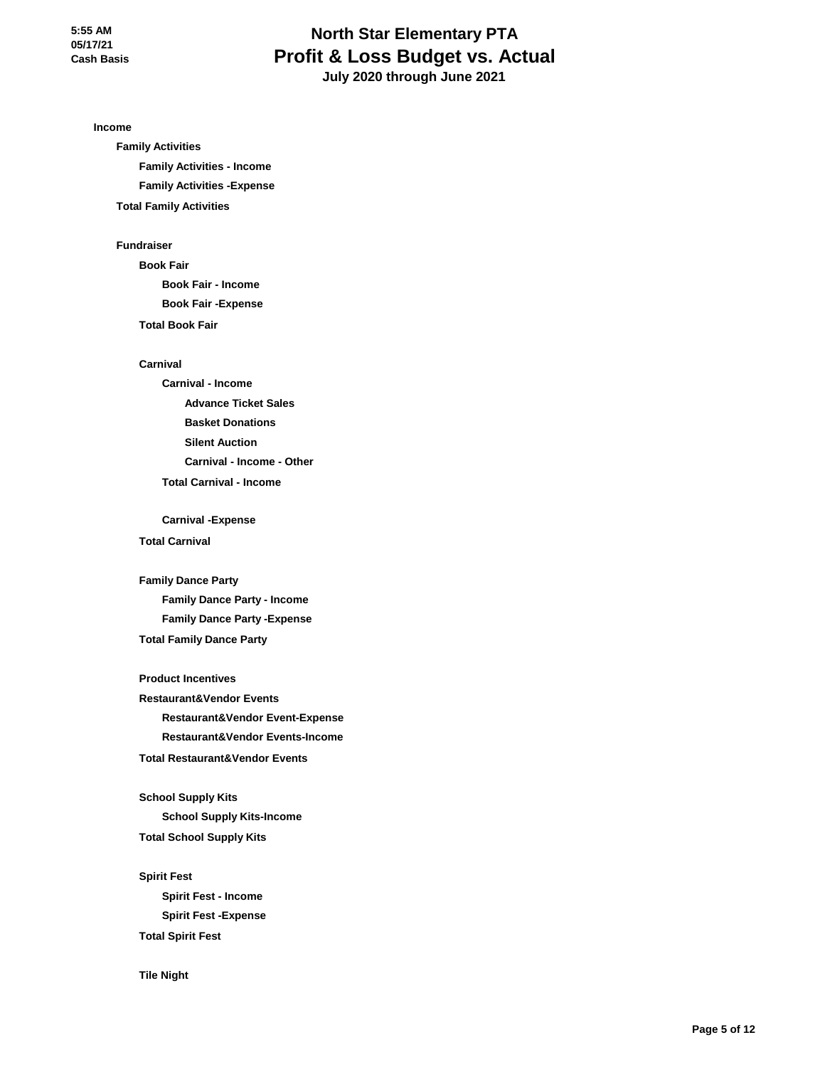# **North Star Elementary PTA Profit & Loss Budget vs. Actual July 2020 through June 2021**

**Income**

**Family Activities Family Activities - Income Family Activities -Expense Total Family Activities**

#### **Fundraiser**

**Book Fair Book Fair - Income Book Fair -Expense Total Book Fair**

#### **Carnival**

**Carnival - Income Advance Ticket Sales Basket Donations Silent Auction Carnival - Income - Other Total Carnival - Income**

**Carnival -Expense**

#### **Total Carnival**

**Family Dance Party Family Dance Party - Income**

**Family Dance Party -Expense Total Family Dance Party**

**Product Incentives Restaurant&Vendor Events Restaurant&Vendor Event-Expense Restaurant&Vendor Events-Income Total Restaurant&Vendor Events**

**School Supply Kits School Supply Kits-Income Total School Supply Kits**

**Spirit Fest Spirit Fest - Income Spirit Fest -Expense Total Spirit Fest**

**Tile Night**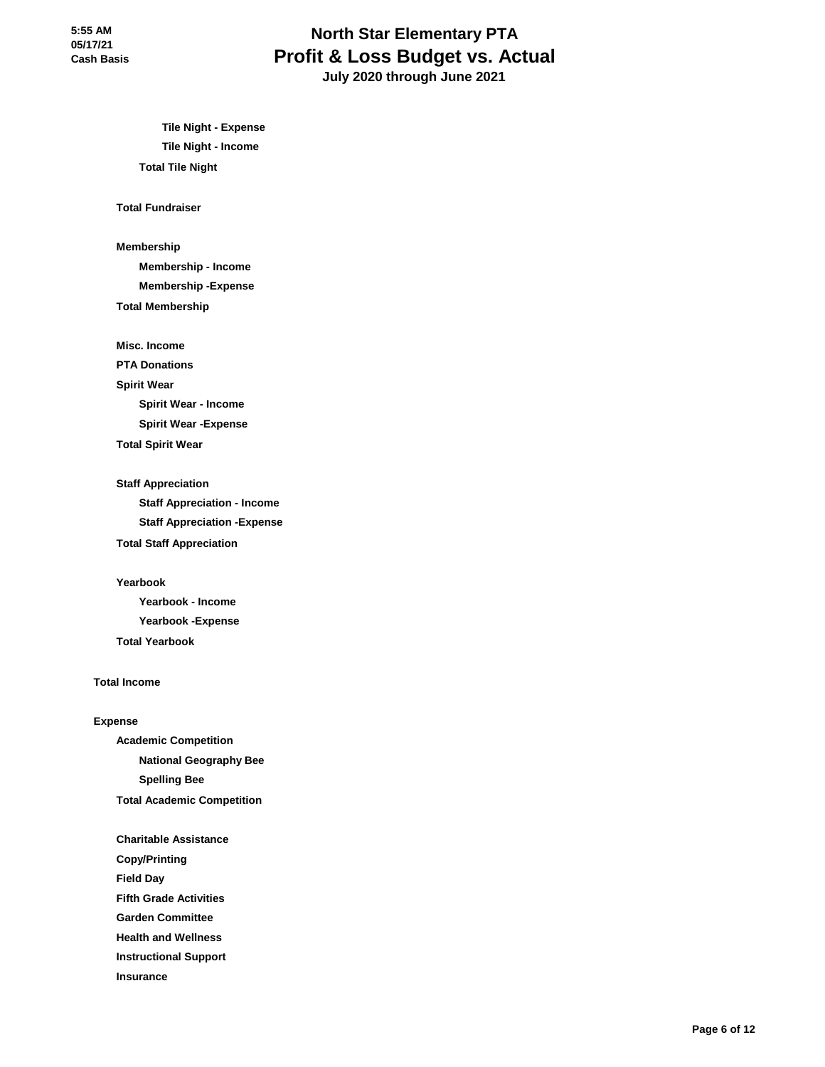# **North Star Elementary PTA Profit & Loss Budget vs. Actual July 2020 through June 2021**

**Tile Night - Expense Tile Night - Income Total Tile Night**

#### **Total Fundraiser**

**Membership**

**Membership - Income**

**Membership -Expense**

#### **Total Membership**

**Misc. Income**

**PTA Donations**

#### **Spirit Wear**

**Spirit Wear - Income**

**Spirit Wear -Expense**

**Total Spirit Wear**

#### **Staff Appreciation**

**Staff Appreciation - Income Staff Appreciation -Expense Total Staff Appreciation**

#### **Yearbook**

**Yearbook - Income Yearbook -Expense Total Yearbook**

#### **Total Income**

#### **Expense**

**Academic Competition National Geography Bee Spelling Bee Total Academic Competition**

- **Charitable Assistance**
- **Copy/Printing**

**Field Day**

**Fifth Grade Activities**

**Garden Committee**

**Health and Wellness**

**Instructional Support**

**Insurance**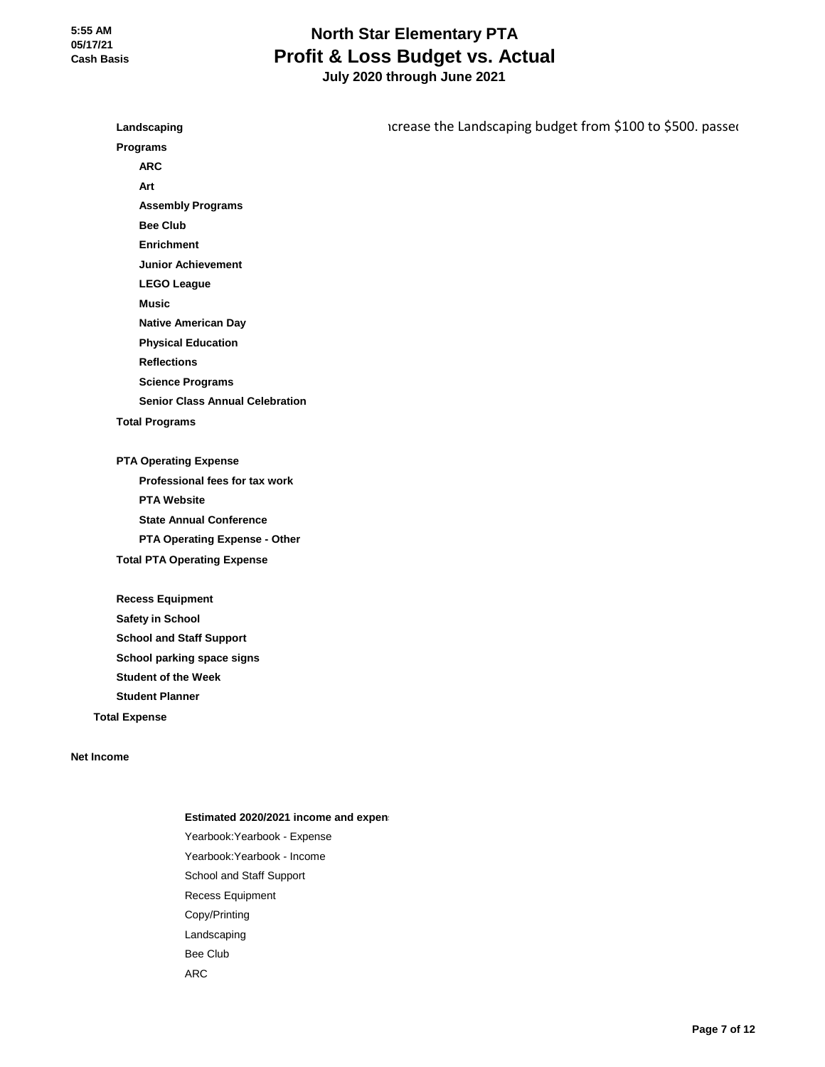**Landscaping Programs ARC Art Assembly Programs Bee Club Enrichment Junior Achievement LEGO League Music Native American Day Physical Education Reflections Science Programs Senior Class Annual Celebration Total Programs PTA Operating Expense Professional fees for tax work PTA Website State Annual Conference PTA Operating Expense - Other Total PTA Operating Expense Recess Equipment Safety in School School and Staff Support School parking space signs** icrease the Landscaping budget from \$100 to \$500. passed

**Student Planner Total Expense**

**Student of the Week**

**Net Income**

#### **Estimated 2020/2021 income and expen**

Yearbook:Yearbook - Expense Yearbook:Yearbook - Income School and Staff Support Recess Equipment Copy/Printing Landscaping Bee Club ARC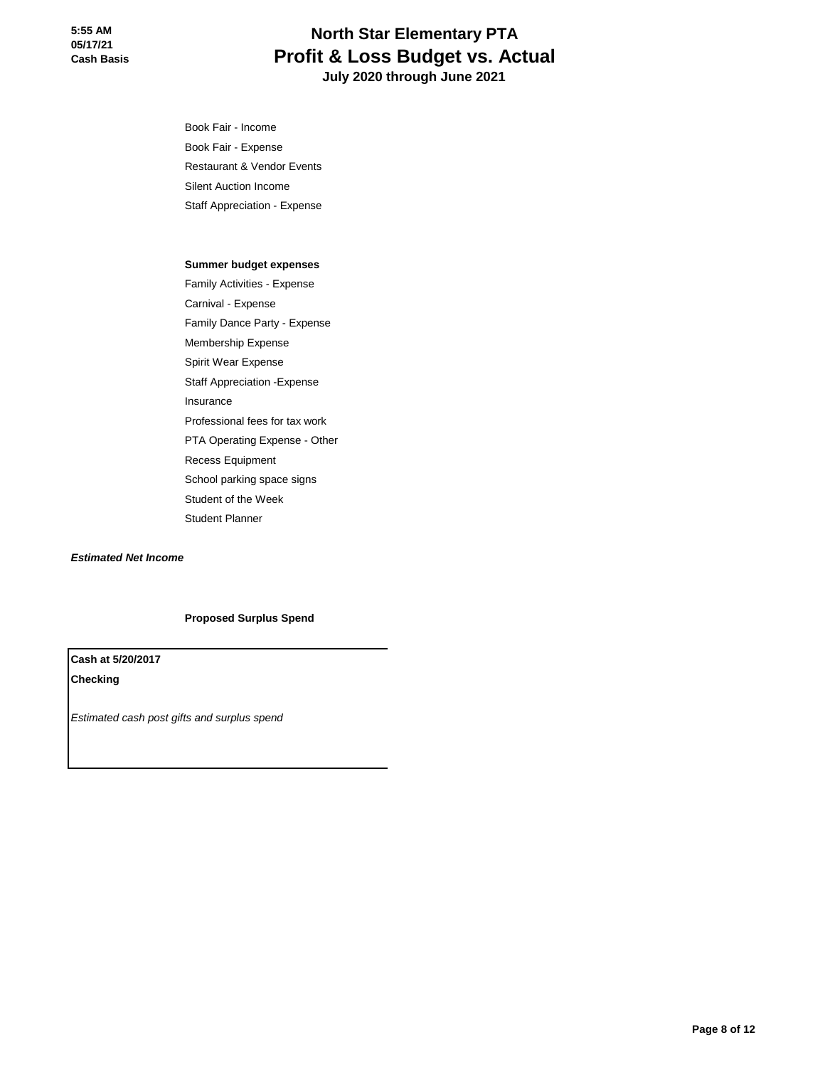**Income** Book Fair - Income Book Fair - Expense Restaurant & Vendor Events Silent Auction Income Staff Appreciation - Expense

#### **Summer budget expenses**

Family Activities - Expense Carnival - Expense Family Dance Party - Expense Membership Expense Spirit Wear Expense Staff Appreciation -Expense Insurance Professional fees for tax work PTA Operating Expense - Other Recess Equipment School parking space signs Student of the Week Student Planner

*Estimated Net Income*

#### **Proposed Surplus Spend**

**Cash at 5/20/2017 Checking**

*Estimated cash post gifts and surplus spend*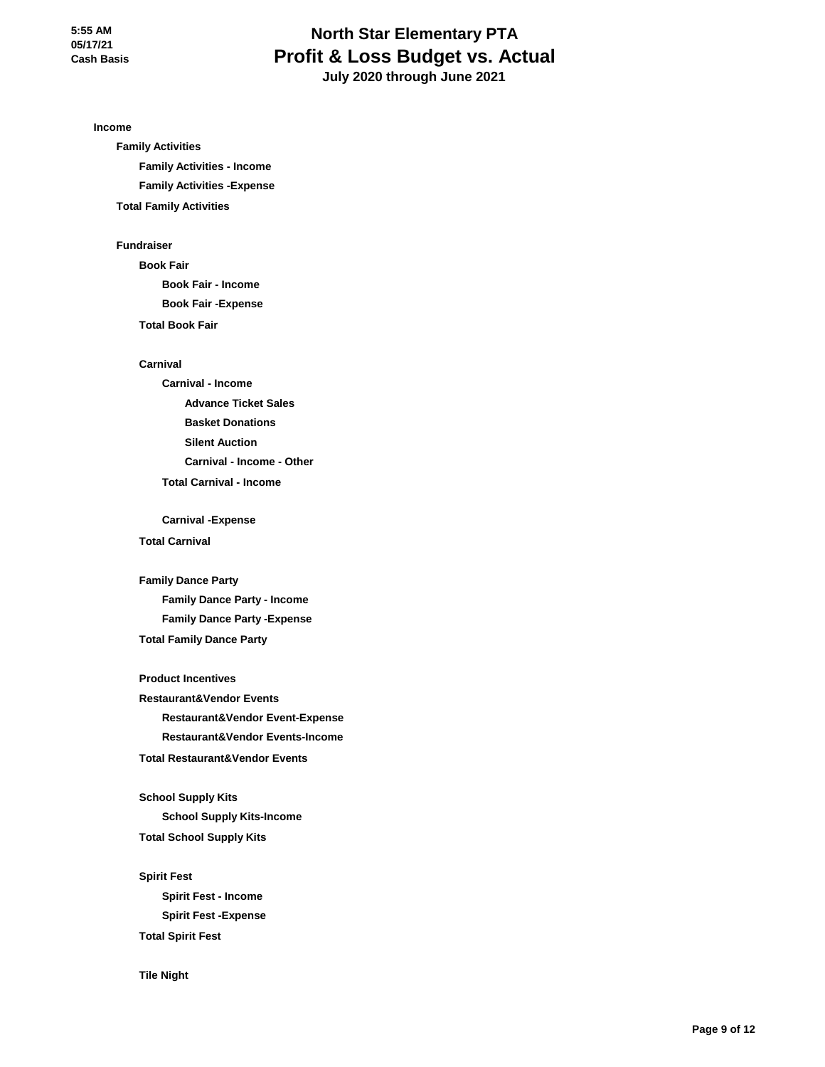# **North Star Elementary PTA Profit & Loss Budget vs. Actual July 2020 through June 2021**

**Income**

**Family Activities Family Activities - Income Family Activities -Expense Total Family Activities**

#### **Fundraiser**

**Book Fair Book Fair - Income Book Fair -Expense Total Book Fair**

#### **Carnival**

**Carnival - Income Advance Ticket Sales Basket Donations Silent Auction Carnival - Income - Other Total Carnival - Income**

**Carnival -Expense**

#### **Total Carnival**

**Family Dance Party Family Dance Party - Income**

**Family Dance Party -Expense Total Family Dance Party**

**Product Incentives Restaurant&Vendor Events Restaurant&Vendor Event-Expense Restaurant&Vendor Events-Income Total Restaurant&Vendor Events**

**School Supply Kits School Supply Kits-Income Total School Supply Kits**

**Spirit Fest Spirit Fest - Income Spirit Fest -Expense Total Spirit Fest**

**Tile Night**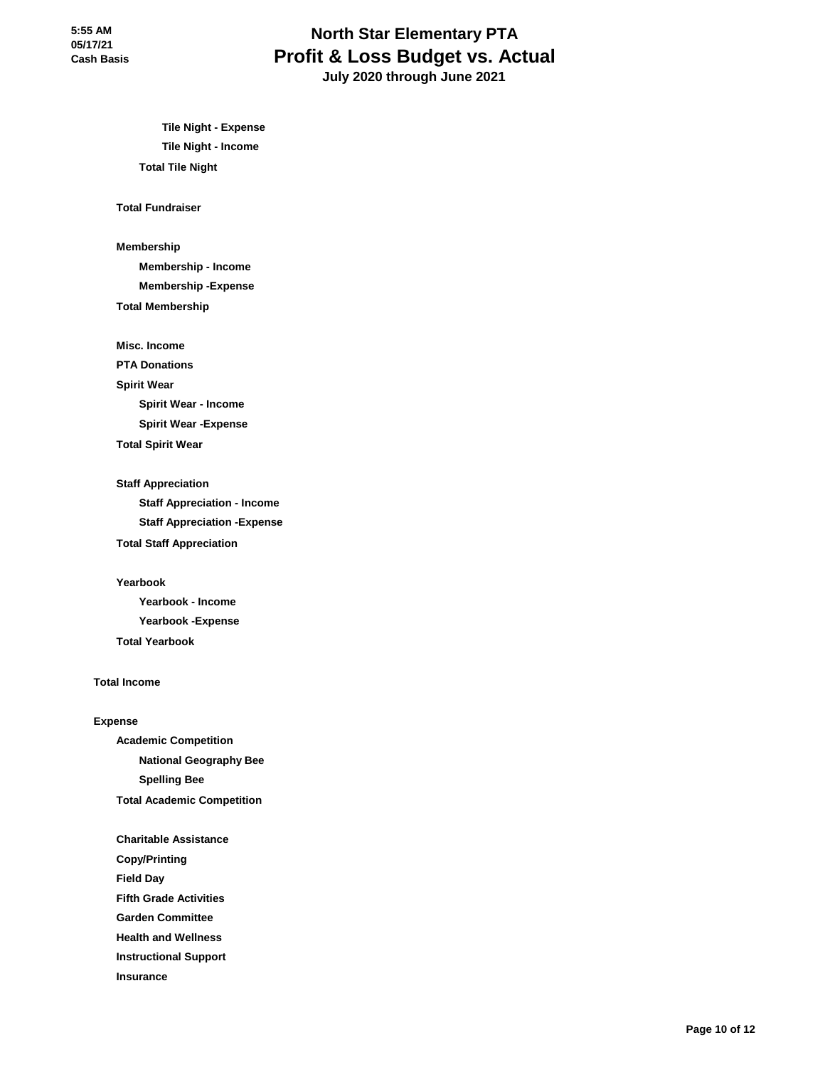# **North Star Elementary PTA Profit & Loss Budget vs. Actual July 2020 through June 2021**

**Tile Night - Expense Tile Night - Income Total Tile Night**

#### **Total Fundraiser**

**Membership**

**Membership - Income**

**Membership -Expense**

#### **Total Membership**

**Misc. Income**

**PTA Donations**

#### **Spirit Wear**

**Spirit Wear - Income**

**Spirit Wear -Expense**

**Total Spirit Wear**

#### **Staff Appreciation**

**Staff Appreciation - Income Staff Appreciation -Expense Total Staff Appreciation**

#### **Yearbook**

**Yearbook - Income Yearbook -Expense Total Yearbook**

#### **Total Income**

#### **Expense**

**Academic Competition National Geography Bee Spelling Bee Total Academic Competition**

**Charitable Assistance**

**Copy/Printing**

**Field Day**

**Fifth Grade Activities**

**Garden Committee**

**Health and Wellness**

**Instructional Support**

**Insurance**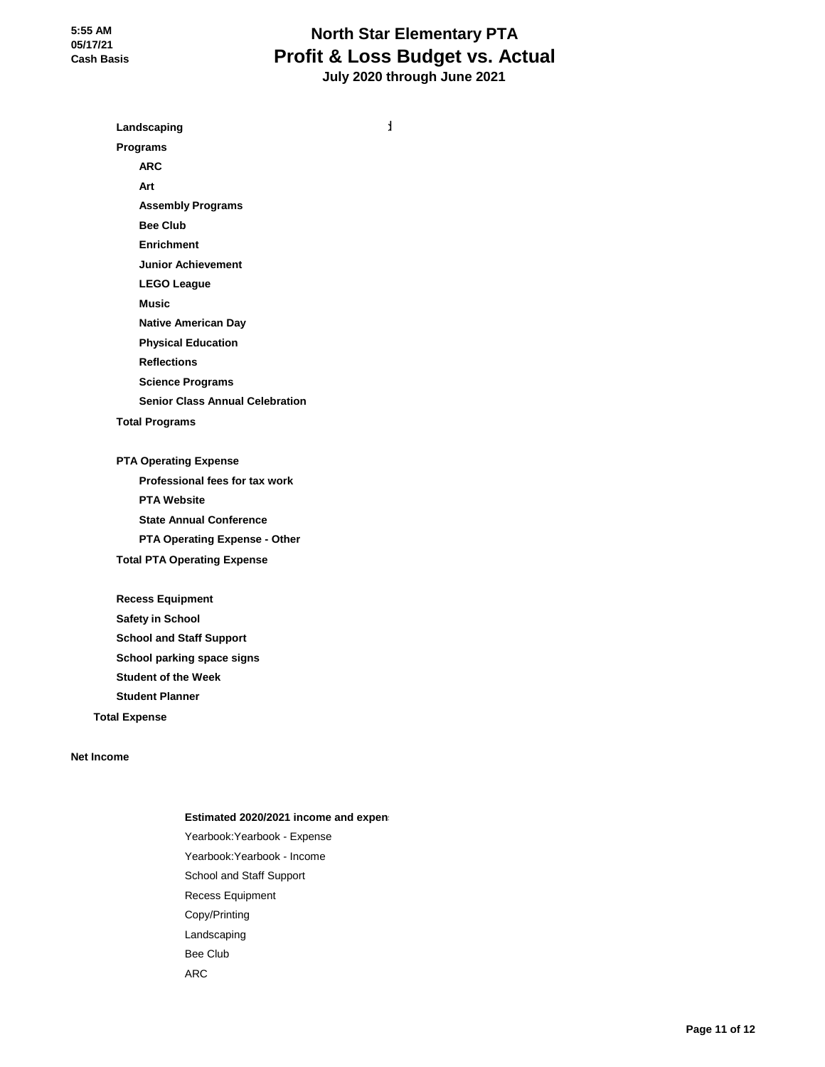**Income Landscaping budget from \$100 to \$500. passed from \$100 to \$500. passed from \$100 to \$500. passed from \$100 to \$500. passed from \$100 to \$500. passed from \$100 to \$500. passed from \$100 to \$500. passed from \$100 to** 

**Programs**

**ARC**

**Art**

**Assembly Programs**

**Bee Club**

**Enrichment**

**Junior Achievement**

**LEGO League**

**Music**

**Native American Day**

**Physical Education**

**Reflections**

**Science Programs**

**Senior Class Annual Celebration**

**Total Programs**

**PTA Operating Expense Professional fees for tax work PTA Website State Annual Conference PTA Operating Expense - Other Total PTA Operating Expense**

**Recess Equipment Safety in School School and Staff Support School parking space signs Student of the Week Student Planner**

**Total Expense**

**Net Income**

#### **Estimated 2020/2021 income and expen**

Yearbook:Yearbook - Expense Yearbook:Yearbook - Income School and Staff Support Recess Equipment Copy/Printing Landscaping Bee Club ARC